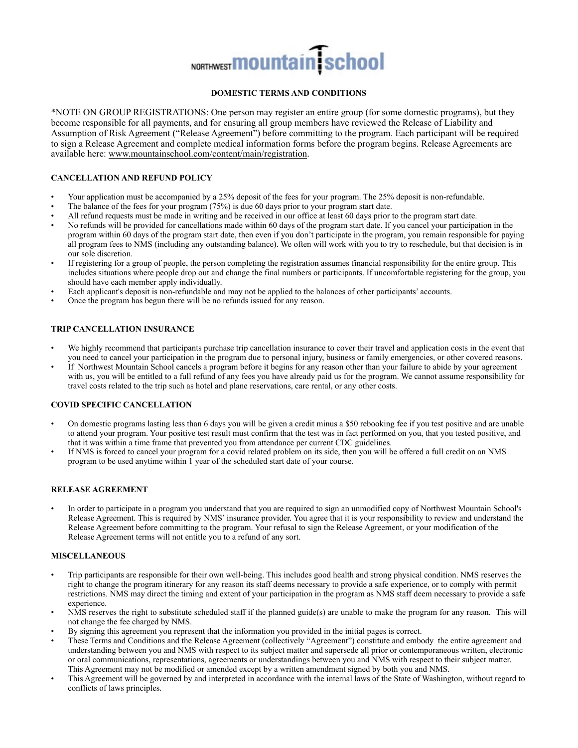# NORTHWEST **MOUNTAIN** School

# **DOMESTIC TERMS AND CONDITIONS**

\*NOTE ON GROUP REGISTRATIONS: One person may register an entire group (for some domestic programs), but they become responsible for all payments, and for ensuring all group members have reviewed the Release of Liability and Assumption of Risk Agreement ("Release Agreement") before committing to the program. Each participant will be required to sign a Release Agreement and complete medical information forms before the program begins. Release Agreements are available here: [www.mountainschool.com/content/main/registration.](http://www.mountainschool.com/content/main/registration)

# **CANCELLATION AND REFUND POLICY**

- Your application must be accompanied by a 25% deposit of the fees for your program. The 25% deposit is non-refundable.
- The balance of the fees for your program (75%) is due 60 days prior to your program start date.
- All refund requests must be made in writing and be received in our office at least 60 days prior to the program start date.
- No refunds will be provided for cancellations made within 60 days of the program start date. If you cancel your participation in the program within 60 days of the program start date, then even if you don't participate in the program, you remain responsible for paying all program fees to NMS (including any outstanding balance). We often will work with you to try to reschedule, but that decision is in our sole discretion.
- If registering for a group of people, the person completing the registration assumes financial responsibility for the entire group. This includes situations where people drop out and change the final numbers or participants. If uncomfortable registering for the group, you should have each member apply individually.
- Each applicant's deposit is non-refundable and may not be applied to the balances of other participants' accounts.
- Once the program has begun there will be no refunds issued for any reason.

# **TRIP CANCELLATION INSURANCE**

- We highly recommend that participants purchase trip cancellation insurance to cover their travel and application costs in the event that you need to cancel your participation in the program due to personal injury, business or family emergencies, or other covered reasons.
- If Northwest Mountain School cancels a program before it begins for any reason other than your failure to abide by your agreement with us, you will be entitled to a full refund of any fees you have already paid us for the program. We cannot assume responsibility for travel costs related to the trip such as hotel and plane reservations, care rental, or any other costs.

# **COVID SPECIFIC CANCELLATION**

- On domestic programs lasting less than 6 days you will be given a credit minus a \$50 rebooking fee if you test positive and are unable to attend your program. Your positive test result must confirm that the test was in fact performed on you, that you tested positive, and that it was within a time frame that prevented you from attendance per current CDC guidelines.
- If NMS is forced to cancel your program for a covid related problem on its side, then you will be offered a full credit on an NMS program to be used anytime within 1 year of the scheduled start date of your course.

# **RELEASE AGREEMENT**

• In order to participate in a program you understand that you are required to sign an unmodified copy of Northwest Mountain School's Release Agreement. This is required by NMS' insurance provider. You agree that it is your responsibility to review and understand the Release Agreement before committing to the program. Your refusal to sign the Release Agreement, or your modification of the Release Agreement terms will not entitle you to a refund of any sort.

# **MISCELLANEOUS**

- Trip participants are responsible for their own well-being. This includes good health and strong physical condition. NMS reserves the right to change the program itinerary for any reason its staff deems necessary to provide a safe experience, or to comply with permit restrictions. NMS may direct the timing and extent of your participation in the program as NMS staff deem necessary to provide a safe experience.
- NMS reserves the right to substitute scheduled staff if the planned guide(s) are unable to make the program for any reason. This will not change the fee charged by NMS.
- By signing this agreement you represent that the information you provided in the initial pages is correct.
- These Terms and Conditions and the Release Agreement (collectively "Agreement") constitute and embody the entire agreement and understanding between you and NMS with respect to its subject matter and supersede all prior or contemporaneous written, electronic or oral communications, representations, agreements or understandings between you and NMS with respect to their subject matter. This Agreement may not be modified or amended except by a written amendment signed by both you and NMS.
- This Agreement will be governed by and interpreted in accordance with the internal laws of the State of Washington, without regard to conflicts of laws principles.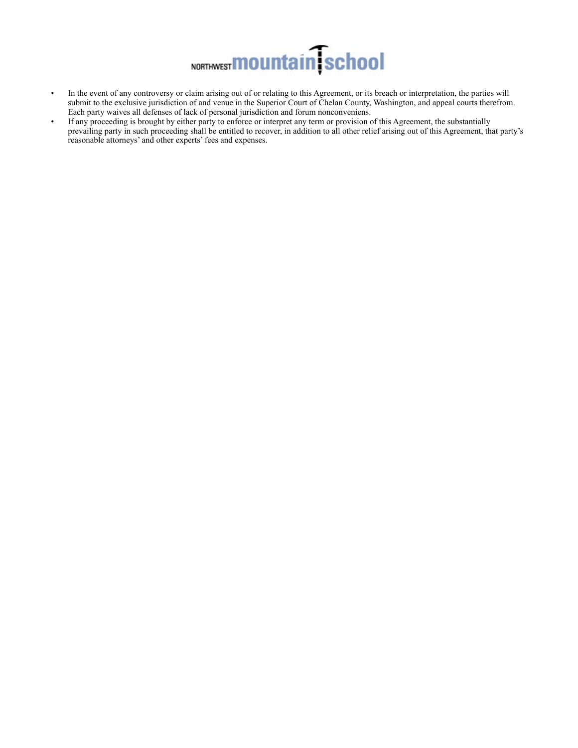

- In the event of any controversy or claim arising out of or relating to this Agreement, or its breach or interpretation, the parties will submit to the exclusive jurisdiction of and venue in the Superior Court of Chelan County, Washington, and appeal courts therefrom. Each party waives all defenses of lack of personal jurisdiction and forum nonconveniens.
- If any proceeding is brought by either party to enforce or interpret any term or provision of this Agreement, the substantially prevailing party in such proceeding shall be entitled to recover, in addition to all other relief arising out of this Agreement, that party's reasonable attorneys' and other experts' fees and expenses.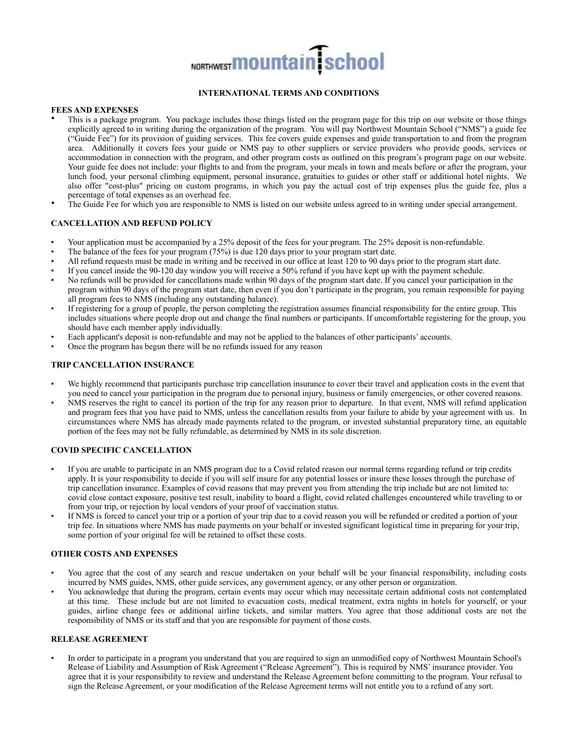# NORTHWEST **MOUNTAIN** School

# **INTERNATIONAL TERMS AND CONDITIONS**

#### **FEES AND EXPENSES**

- This is a package program. You package includes those things listed on the program page for this trip on our website or those things explicitly agreed to in writing during the organization of the program. You will pay Northwest Mountain School ("NMS") a guide fee ("Guide Fee") for its provision of guiding services. This fee covers guide expenses and guide transportation to and from the program area. Additionally it covers fees your guide or NMS pay to other suppliers or service providers who provide goods, services or accommodation in connection with the program, and other program costs as outlined on this program's program page on our website. Your guide fee does not include: your flights to and from the program, your meals in town and meals before or after the program, your lunch food, your personal climbing equipment, personal insurance, gratuities to guides or other staff or additional hotel nights. We also offer "cost-plus" pricing on custom programs, in which you pay the actual cost of trip expenses plus the guide fee, plus a percentage of total expenses as an overhead fee.
- The Guide Fee for which you are responsible to NMS is listed on our website unless agreed to in writing under special arrangement.

# **CANCELLATION AND REFUND POLICY**

- Your application must be accompanied by a 25% deposit of the fees for your program. The 25% deposit is non-refundable.
- The balance of the fees for your program (75%) is due 120 days prior to your program start date.
- All refund requests must be made in writing and be received in our office at least 120 to 90 days prior to the program start date.
- If you cancel inside the 90-120 day window you will receive a 50% refund if you have kept up with the payment schedule.
- No refunds will be provided for cancellations made within 90 days of the program start date. If you cancel your participation in the program within 90 days of the program start date, then even if you don't participate in the program, you remain responsible for paying all program fees to NMS (including any outstanding balance).
- If registering for a group of people, the person completing the registration assumes financial responsibility for the entire group. This includes situations where people drop out and change the final numbers or participants. If uncomfortable registering for the group, you should have each member apply individually.
- Each applicant's deposit is non-refundable and may not be applied to the balances of other participants' accounts.
- Once the program has begun there will be no refunds issued for any reason

# **TRIP CANCELLATION INSURANCE**

- We highly recommend that participants purchase trip cancellation insurance to cover their travel and application costs in the event that you need to cancel your participation in the program due to personal injury, business or family emergencies, or other covered reasons.
- NMS reserves the right to cancel its portion of the trip for any reason prior to departure. In that event, NMS will refund application and program fees that you have paid to NMS, unless the cancellation results from your failure to abide by your agreement with us. In circumstances where NMS has already made payments related to the program, or invested substantial preparatory time, an equitable portion of the fees may not be fully refundable, as determined by NMS in its sole discretion.

# **COVID SPECIFIC CANCELLATION**

- If you are unable to participate in an NMS program due to a Covid related reason our normal terms regarding refund or trip credits apply. It is your responsibility to decide if you will self insure for any potential losses or insure these losses through the purchase of trip cancellation insurance. Examples of covid reasons that may prevent you from attending the trip include but are not limited to: covid close contact exposure, positive test result, inability to board a flight, covid related challenges encountered while traveling to or from your trip, or rejection by local vendors of your proof of vaccination status.
- If NMS is forced to cancel your trip or a portion of your trip due to a covid reason you will be refunded or credited a portion of your trip fee. In situations where NMS has made payments on your behalf or invested significant logistical time in preparing for your trip, some portion of your original fee will be retained to offset these costs.

# **OTHER COSTS AND EXPENSES**

- You agree that the cost of any search and rescue undertaken on your behalf will be your financial responsibility, including costs incurred by NMS guides, NMS, other guide services, any government agency, or any other person or organization.
- You acknowledge that during the program, certain events may occur which may necessitate certain additional costs not contemplated at this time. These include but are not limited to evacuation costs, medical treatment, extra nights in hotels for yourself, or your guides, airline change fees or additional airline tickets, and similar matters. You agree that those additional costs are not the responsibility of NMS or its staff and that you are responsible for payment of those costs.

# **RELEASE AGREEMENT**

• In order to participate in a program you understand that you are required to sign an unmodified copy of Northwest Mountain School's Release of Liability and Assumption of Risk Agreement ("Release Agreement"). This is required by NMS' insurance provider. You agree that it is your responsibility to review and understand the Release Agreement before committing to the program. Your refusal to sign the Release Agreement, or your modification of the Release Agreement terms will not entitle you to a refund of any sort.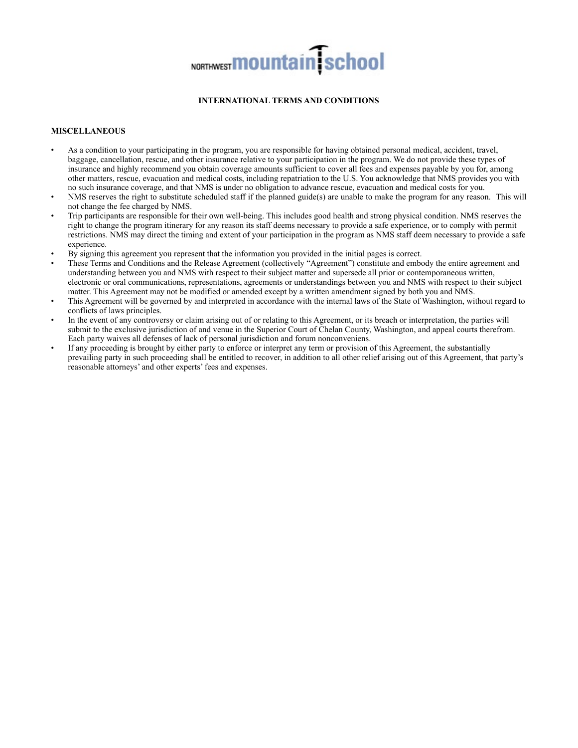# NORTHWEST **MOUNTAIN** School

# **INTERNATIONAL TERMS AND CONDITIONS**

# **MISCELLANEOUS**

- As a condition to your participating in the program, you are responsible for having obtained personal medical, accident, travel, baggage, cancellation, rescue, and other insurance relative to your participation in the program. We do not provide these types of insurance and highly recommend you obtain coverage amounts sufficient to cover all fees and expenses payable by you for, among other matters, rescue, evacuation and medical costs, including repatriation to the U.S. You acknowledge that NMS provides you with no such insurance coverage, and that NMS is under no obligation to advance rescue, evacuation and medical costs for you.
- NMS reserves the right to substitute scheduled staff if the planned guide(s) are unable to make the program for any reason. This will not change the fee charged by NMS.
- Trip participants are responsible for their own well-being. This includes good health and strong physical condition. NMS reserves the right to change the program itinerary for any reason its staff deems necessary to provide a safe experience, or to comply with permit restrictions. NMS may direct the timing and extent of your participation in the program as NMS staff deem necessary to provide a safe experience.
- By signing this agreement you represent that the information you provided in the initial pages is correct.
- These Terms and Conditions and the Release Agreement (collectively "Agreement") constitute and embody the entire agreement and understanding between you and NMS with respect to their subject matter and supersede all prior or contemporaneous written, electronic or oral communications, representations, agreements or understandings between you and NMS with respect to their subject matter. This Agreement may not be modified or amended except by a written amendment signed by both you and NMS.
- This Agreement will be governed by and interpreted in accordance with the internal laws of the State of Washington, without regard to conflicts of laws principles.
- In the event of any controversy or claim arising out of or relating to this Agreement, or its breach or interpretation, the parties will submit to the exclusive jurisdiction of and venue in the Superior Court of Chelan County, Washington, and appeal courts therefrom. Each party waives all defenses of lack of personal jurisdiction and forum nonconveniens.
- If any proceeding is brought by either party to enforce or interpret any term or provision of this Agreement, the substantially prevailing party in such proceeding shall be entitled to recover, in addition to all other relief arising out of this Agreement, that party's reasonable attorneys' and other experts' fees and expenses.